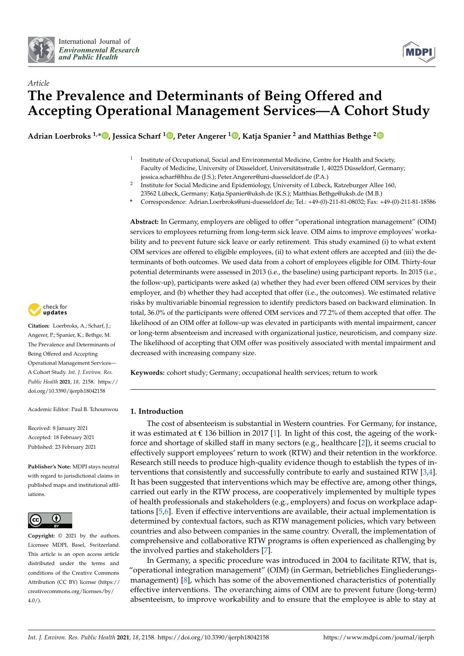



# *Article* **The Prevalence and Determinants of Being Offered and Accepting Operational Management Services—A Cohort Study**

**Adrian Loerbroks 1,[\\*](https://orcid.org/0000-0003-2795-8684) , Jessica Scharf [1](https://orcid.org/0000-0001-9779-5943) , Peter Angerer <sup>1</sup> [,](https://orcid.org/0000-0002-9602-7405) Katja Spanier <sup>2</sup> and Matthias Bethge [2](https://orcid.org/0000-0002-6417-7812)**

- 1 Institute of Occupational, Social and Environmental Medicine, Centre for Health and Society, Faculty of Medicine, University of Düsseldorf, Universitätsstraße 1, 40225 Düsseldorf, Germany; jessica.scharf@hhu.de (J.S.); Peter.Angerer@uni-duesseldorf.de (P.A.)
- 2 Institute for Social Medicine and Epidemiology, University of Lübeck, Ratzeburger Allee 160, 23562 Lübeck, Germany; Katja.Spanier@uksh.de (K.S.); Matthias.Bethge@uksh.de (M.B.)
- **\*** Correspondence: Adrian.Loerbroks@uni-duesseldorf.de; Tel.: +49-(0)-211-81-08032; Fax: +49-(0)-211-81-18586

**Abstract:** In Germany, employers are obliged to offer "operational integration management" (OIM) services to employees returning from long-term sick leave. OIM aims to improve employees' workability and to prevent future sick leave or early retirement. This study examined (i) to what extent OIM services are offered to eligible employees, (ii) to what extent offers are accepted and (iii) the determinants of both outcomes. We used data from a cohort of employees eligible for OIM. Thirty-four potential determinants were assessed in 2013 (i.e., the baseline) using participant reports. In 2015 (i.e., the follow-up), participants were asked (a) whether they had ever been offered OIM services by their employer, and (b) whether they had accepted that offer (i.e., the outcomes). We estimated relative risks by multivariable binomial regression to identify predictors based on backward elimination. In total, 36.0% of the participants were offered OIM services and 77.2% of them accepted that offer. The likelihood of an OIM offer at follow-up was elevated in participants with mental impairment, cancer or long-term absenteeism and increased with organizational justice, neuroticism, and company size. The likelihood of accepting that OIM offer was positively associated with mental impairment and decreased with increasing company size.

**Keywords:** cohort study; Germany; occupational health services; return to work

# **1. Introduction**

The cost of absenteeism is substantial in Western countries. For Germany, for instance, it was estimated at  $\epsilon$  136 billion in 2017 [\[1\]](#page-9-0). In light of this cost, the ageing of the workforce and shortage of skilled staff in many sectors (e.g., healthcare [\[2\]](#page-9-1)), it seems crucial to effectively support employees' return to work (RTW) and their retention in the workforce. Research still needs to produce high-quality evidence though to establish the types of interventions that consistently and successfully contribute to early and sustained RTW [\[3](#page-9-2)[,4\]](#page-9-3). It has been suggested that interventions which may be effective are, among other things, carried out early in the RTW process, are cooperatively implemented by multiple types of health professionals and stakeholders (e.g., employers) and focus on workplace adaptations [\[5,](#page-10-0)[6\]](#page-10-1). Even if effective interventions are available, their actual implementation is determined by contextual factors, such as RTW management policies, which vary between countries and also between companies in the same country. Overall, the implementation of comprehensive and collaborative RTW programs is often experienced as challenging by the involved parties and stakeholders [\[7\]](#page-10-2).

In Germany, a specific procedure was introduced in 2004 to facilitate RTW, that is, "operational integration management" (OIM) (in German, betriebliches Eingliederungsmanagement) [\[8\]](#page-10-3), which has some of the abovementioned characteristics of potentially effective interventions. The overarching aims of OIM are to prevent future (long-term) absenteeism, to improve workability and to ensure that the employee is able to stay at



**Citation:** Loerbroks, A.; Scharf, J.; Angerer, P.; Spanier, K.; Bethge, M. The Prevalence and Determinants of Being Offered and Accepting Operational Management Services— A Cohort Study. *Int. J. Environ. Res. Public Health* **2021**, *18*, 2158. [https://](https://doi.org/10.3390/ijerph18042158) [doi.org/10.3390/ijerph18042158](https://doi.org/10.3390/ijerph18042158)

Academic Editor: Paul B. Tchounwou

Received: 8 January 2021 Accepted: 18 February 2021 Published: 23 February 2021

**Publisher's Note:** MDPI stays neutral with regard to jurisdictional claims in published maps and institutional affiliations.



**Copyright:** © 2021 by the authors. Licensee MDPI, Basel, Switzerland. This article is an open access article distributed under the terms and conditions of the Creative Commons Attribution (CC BY) license (https:/[/](https://creativecommons.org/licenses/by/4.0/) [creativecommons.org/licenses/by/](https://creativecommons.org/licenses/by/4.0/)  $4.0/$ ).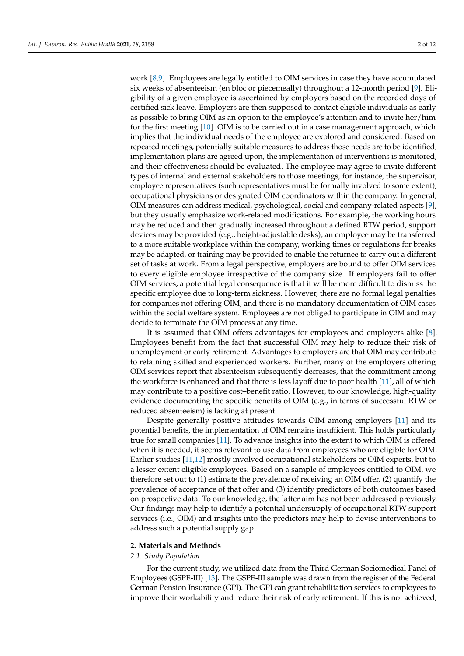work [\[8](#page-10-3)[,9\]](#page-10-4). Employees are legally entitled to OIM services in case they have accumulated six weeks of absenteeism (en bloc or piecemeally) throughout a 12-month period [\[9\]](#page-10-4). Eligibility of a given employee is ascertained by employers based on the recorded days of certified sick leave. Employers are then supposed to contact eligible individuals as early as possible to bring OIM as an option to the employee's attention and to invite her/him for the first meeting [\[10\]](#page-10-5). OIM is to be carried out in a case management approach, which implies that the individual needs of the employee are explored and considered. Based on repeated meetings, potentially suitable measures to address those needs are to be identified, implementation plans are agreed upon, the implementation of interventions is monitored, and their effectiveness should be evaluated. The employee may agree to invite different types of internal and external stakeholders to those meetings, for instance, the supervisor, employee representatives (such representatives must be formally involved to some extent), occupational physicians or designated OIM coordinators within the company. In general, OIM measures can address medical, psychological, social and company-related aspects [\[9\]](#page-10-4), but they usually emphasize work-related modifications. For example, the working hours may be reduced and then gradually increased throughout a defined RTW period, support devices may be provided (e.g., height-adjustable desks), an employee may be transferred to a more suitable workplace within the company, working times or regulations for breaks may be adapted, or training may be provided to enable the returnee to carry out a different set of tasks at work. From a legal perspective, employers are bound to offer OIM services to every eligible employee irrespective of the company size. If employers fail to offer OIM services, a potential legal consequence is that it will be more difficult to dismiss the specific employee due to long-term sickness. However, there are no formal legal penalties for companies not offering OIM, and there is no mandatory documentation of OIM cases within the social welfare system. Employees are not obliged to participate in OIM and may

It is assumed that OIM offers advantages for employees and employers alike [\[8\]](#page-10-3). Employees benefit from the fact that successful OIM may help to reduce their risk of unemployment or early retirement. Advantages to employers are that OIM may contribute to retaining skilled and experienced workers. Further, many of the employers offering OIM services report that absenteeism subsequently decreases, that the commitment among the workforce is enhanced and that there is less layoff due to poor health [\[11\]](#page-10-6), all of which may contribute to a positive cost–benefit ratio. However, to our knowledge, high-quality evidence documenting the specific benefits of OIM (e.g., in terms of successful RTW or reduced absenteeism) is lacking at present.

decide to terminate the OIM process at any time.

Despite generally positive attitudes towards OIM among employers [\[11\]](#page-10-6) and its potential benefits, the implementation of OIM remains insufficient. This holds particularly true for small companies [\[11\]](#page-10-6). To advance insights into the extent to which OIM is offered when it is needed, it seems relevant to use data from employees who are eligible for OIM. Earlier studies [\[11](#page-10-6)[,12\]](#page-10-7) mostly involved occupational stakeholders or OIM experts, but to a lesser extent eligible employees. Based on a sample of employees entitled to OIM, we therefore set out to (1) estimate the prevalence of receiving an OIM offer, (2) quantify the prevalence of acceptance of that offer and (3) identify predictors of both outcomes based on prospective data. To our knowledge, the latter aim has not been addressed previously. Our findings may help to identify a potential undersupply of occupational RTW support services (i.e., OIM) and insights into the predictors may help to devise interventions to address such a potential supply gap.

#### **2. Materials and Methods**

## *2.1. Study Population*

For the current study, we utilized data from the Third German Sociomedical Panel of Employees (GSPE-III) [\[13\]](#page-10-8). The GSPE-III sample was drawn from the register of the Federal German Pension Insurance (GPI). The GPI can grant rehabilitation services to employees to improve their workability and reduce their risk of early retirement. If this is not achieved,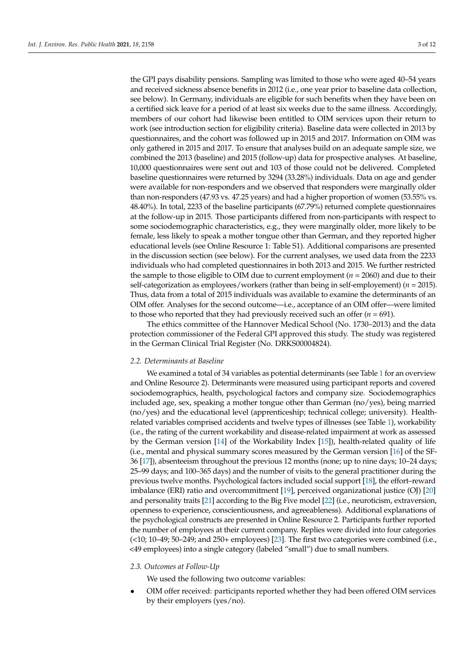the GPI pays disability pensions. Sampling was limited to those who were aged 40–54 years and received sickness absence benefits in 2012 (i.e., one year prior to baseline data collection, see below). In Germany, individuals are eligible for such benefits when they have been on a certified sick leave for a period of at least six weeks due to the same illness. Accordingly, members of our cohort had likewise been entitled to OIM services upon their return to work (see introduction section for eligibility criteria). Baseline data were collected in 2013 by questionnaires, and the cohort was followed up in 2015 and 2017. Information on OIM was only gathered in 2015 and 2017. To ensure that analyses build on an adequate sample size, we combined the 2013 (baseline) and 2015 (follow-up) data for prospective analyses. At baseline, 10,000 questionnaires were sent out and 103 of those could not be delivered. Completed baseline questionnaires were returned by 3294 (33.28%) individuals. Data on age and gender were available for non-responders and we observed that responders were marginally older than non-responders (47.93 vs. 47.25 years) and had a higher proportion of women (53.55% vs. 48.40%). In total, 2233 of the baseline participants (67.79%) returned complete questionnaires at the follow-up in 2015. Those participants differed from non-participants with respect to some sociodemographic characteristics, e.g., they were marginally older, more likely to be female, less likely to speak a mother tongue other than German, and they reported higher educational levels (see Online Resource 1: Table S1). Additional comparisons are presented in the discussion section (see below). For the current analyses, we used data from the 2233 individuals who had completed questionnaires in both 2013 and 2015. We further restricted the sample to those eligible to OIM due to current employment ( $n = 2060$ ) and due to their self-categorization as employees/workers (rather than being in self-employement) (*n* = 2015). Thus, data from a total of 2015 individuals was available to examine the determinants of an OIM offer. Analyses for the second outcome—i.e., acceptance of an OIM offer—were limited to those who reported that they had previously received such an offer  $(n = 691)$ .

The ethics committee of the Hannover Medical School (No. 1730–2013) and the data protection commissioner of the Federal GPI approved this study. The study was registered in the German Clinical Trial Register (No. DRKS00004824).

## *2.2. Determinants at Baseline*

We examined a total of 34 variables as potential determinants (see Table [1](#page-3-0) for an overview and Online Resource 2). Determinants were measured using participant reports and covered sociodemographics, health, psychological factors and company size. Sociodemographics included age, sex, speaking a mother tongue other than German (no/yes), being married (no/yes) and the educational level (apprenticeship; technical college; university). Healthrelated variables comprised accidents and twelve types of illnesses (see Table [1\)](#page-3-0), workability (i.e., the rating of the current workability and disease-related impairment at work as assessed by the German version [\[14\]](#page-10-9) of the Workability Index [\[15\]](#page-10-10)), health-related quality of life (i.e., mental and physical summary scores measured by the German version [\[16\]](#page-10-11) of the SF-36 [\[17\]](#page-10-12)), absenteeism throughout the previous 12 months (none; up to nine days; 10–24 days; 25–99 days; and 100–365 days) and the number of visits to the general practitioner during the previous twelve months. Psychological factors included social support [\[18\]](#page-10-13), the effort–reward imbalance (ERI) ratio and overcommitment [\[19\]](#page-10-14), perceived organizational justice (OJ) [\[20\]](#page-10-15) and personality traits [\[21\]](#page-10-16) according to the Big Five model [\[22\]](#page-10-17) (i.e., neuroticism, extraversion, openness to experience, conscientiousness, and agreeableness). Additional explanations of the psychological constructs are presented in Online Resource 2. Participants further reported the number of employees at their current company. Replies were divided into four categories (<10; 10–49; 50–249; and 250+ employees) [\[23\]](#page-10-18). The first two categories were combined (i.e., <49 employees) into a single category (labeled "small") due to small numbers.

#### *2.3. Outcomes at Follow-Up*

We used the following two outcome variables:

• OIM offer received: participants reported whether they had been offered OIM services by their employers (yes/no).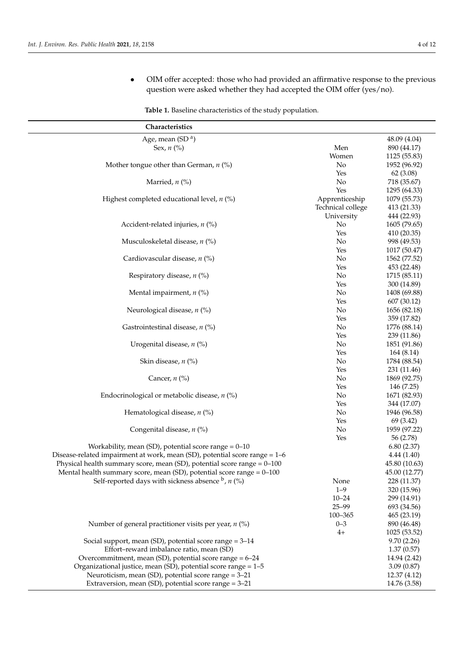<span id="page-3-0"></span> $\overline{a}$  $\overline{a}$  • OIM offer accepted: those who had provided an affirmative response to the previous question were asked whether they had accepted the OIM offer (yes/no).

| Table 1. Baseline characteristics of the study population. |  |  |  |  |  |  |  |  |
|------------------------------------------------------------|--|--|--|--|--|--|--|--|
|------------------------------------------------------------|--|--|--|--|--|--|--|--|

| Characteristics                                                              |                   |               |
|------------------------------------------------------------------------------|-------------------|---------------|
| Age, mean (SD <sup>a</sup> )                                                 |                   | 48.09 (4.04)  |
| Sex, $n$ (%)                                                                 | Men               | 890 (44.17)   |
|                                                                              | Women             | 1125 (55.83)  |
| Mother tongue other than German, $n$ (%)                                     | No                | 1952 (96.92)  |
|                                                                              | Yes               | 62(3.08)      |
| Married, $n$ (%)                                                             | No                | 718 (35.67)   |
|                                                                              | Yes               | 1295 (64.33)  |
| Highest completed educational level, $n$ (%)                                 | Apprenticeship    | 1079 (55.73)  |
|                                                                              | Technical college | 413 (21.33)   |
|                                                                              | University        | 444 (22.93)   |
| Accident-related injuries, $n$ (%)                                           | No                | 1605 (79.65)  |
|                                                                              | Yes               | 410 (20.35)   |
| Musculoskeletal disease, $n$ (%)                                             | No                | 998 (49.53)   |
|                                                                              | Yes               | 1017 (50.47)  |
| Cardiovascular disease, $n$ (%)                                              | No                | 1562 (77.52)  |
|                                                                              | Yes               | 453 (22.48)   |
| Respiratory disease, $n$ (%)                                                 | No                | 1715 (85.11)  |
|                                                                              | Yes               | 300 (14.89)   |
| Mental impairment, $n$ (%)                                                   | No                | 1408 (69.88)  |
|                                                                              | Yes               | 607 (30.12)   |
| Neurological disease, $n$ (%)                                                | No                | 1656 (82.18)  |
|                                                                              | Yes               | 359 (17.82)   |
| Gastrointestinal disease, $n$ (%)                                            | No                | 1776 (88.14)  |
|                                                                              | Yes               | 239 (11.86)   |
| Urogenital disease, $n$ (%)                                                  | No                | 1851 (91.86)  |
|                                                                              | Yes               | 164 (8.14)    |
| Skin disease, $n$ (%)                                                        | No                | 1784 (88.54)  |
|                                                                              | Yes               | 231 (11.46)   |
| Cancer, $n$ (%)                                                              | No                | 1869 (92.75)  |
|                                                                              | Yes               | 146 (7.25)    |
| Endocrinological or metabolic disease, $n$ (%)                               | No                | 1671 (82.93)  |
|                                                                              | Yes               | 344 (17.07)   |
| Hematological disease, $n$ (%)                                               | No                | 1946 (96.58)  |
|                                                                              | Yes               | 69 (3.42)     |
| Congenital disease, $n$ (%)                                                  | No                | 1959 (97.22)  |
|                                                                              | Yes               | 56 (2.78)     |
| Workability, mean (SD), potential score range $= 0 - 10$                     |                   | 6.80(2.37)    |
| Disease-related impairment at work, mean (SD), potential score range $= 1-6$ |                   | 4.44(1.40)    |
| Physical health summary score, mean (SD), potential score range $= 0 - 100$  |                   | 45.80 (10.63) |
| Mental health summary score, mean (SD), potential score range $= 0 - 100$    |                   | 45.00 (12.77) |
| Self-reported days with sickness absence $\flat$ , $n$ (%)                   | None              | 228 (11.37)   |
|                                                                              | $1 - 9$           | 320 (15.96)   |
|                                                                              | $10 - 24$         | 299 (14.91)   |
|                                                                              | $25 - 99$         | 693 (34.56)   |
|                                                                              | 100-365           | 465 (23.19)   |
| Number of general practitioner visits per year, $n$ (%)                      | $0 - 3$           | 890 (46.48)   |
|                                                                              | $4+$              | 1025 (53.52)  |
| Social support, mean (SD), potential score range = 3-14                      |                   | 9.70(2.26)    |
| Effort-reward imbalance ratio, mean (SD)                                     |                   | 1.37(0.57)    |
| Overcommitment, mean (SD), potential score range = 6-24                      |                   | 14.94 (2.42)  |
| Organizational justice, mean (SD), potential score range = $1-5$             |                   | 3.09(0.87)    |
| Neuroticism, mean (SD), potential score range = 3-21                         |                   | 12.37 (4.12)  |
| Extraversion, mean (SD), potential score range $= 3-21$                      |                   | 14.76 (3.58)  |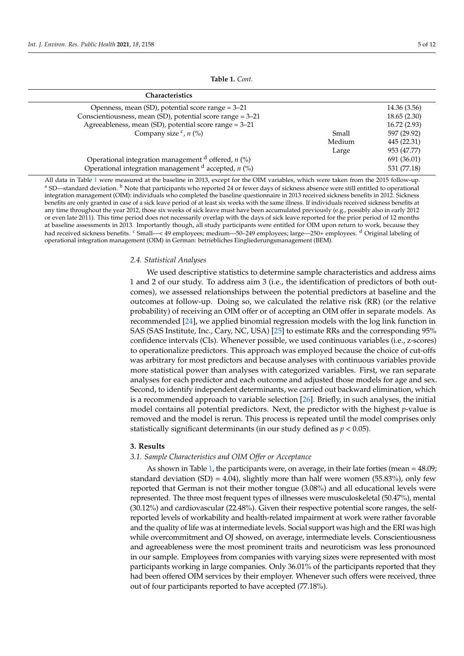**Table 1.** *Cont.*

| <b>Characteristics</b>                                     |        |              |
|------------------------------------------------------------|--------|--------------|
| Openness, mean (SD), potential score range = 3-21          |        | 14.36 (3.56) |
| Conscientiousness, mean (SD), potential score range = 3-21 |        | 18.65(2.30)  |
| Agreeableness, mean (SD), potential score range = 3-21     |        | 16.72(2.93)  |
| Company size $c$ , $n$ (%)                                 | Small  | 597 (29.92)  |
|                                                            | Medium | 445 (22.31)  |
|                                                            | Large  | 953 (47.77)  |
| Operational integration management $d$ offered, $n$ (%)    |        | 691 (36.01)  |
| Operational integration management $d$ accepted, $n$ (%)   |        | 531 (77.18)  |

All data in Table [1](#page-3-0) were measured at the baseline in 2013, except for the OIM variables, which were taken from the 2015 follow-up. <sup>a</sup> SD—standard deviation. <sup>b</sup> Note that participants who reported 24 or fewer days of sickness absence were still entitled to operational integration management (OIM): individuals who completed the baseline questionnaire in 2013 received sickness benefits in 2012. Sickness benefits are only granted in case of a sick leave period of at least six weeks with the same illness. If individuals received sickness benefits at any time throughout the year 2012, those six weeks of sick leave must have been accumulated previously (e.g., possibly also in early 2012 or even late 2011). This time period does not necessarily overlap with the days of sick leave reported for the prior period of 12 months at baseline assessments in 2013. Importantly though, all study participants were entitled for OIM upon return to work, because they had received sickness benefits. <sup>c</sup> Small—< 49 employees; medium—50–249 employees; large—250+ employees. <sup>d</sup> Original labeling of operational integration management (OIM) in German: betriebliches Eingliederungsmanagement (BEM).

## *2.4. Statistical Analyses*

We used descriptive statistics to determine sample characteristics and address aims 1 and 2 of our study. To address aim 3 (i.e., the identification of predictors of both outcomes), we assessed relationships between the potential predictors at baseline and the outcomes at follow-up. Doing so, we calculated the relative risk (RR) (or the relative probability) of receiving an OIM offer or of accepting an OIM offer in separate models. As recommended [\[24\]](#page-10-19), we applied binomial regression models with the log link function in SAS (SAS Institute, Inc., Cary, NC, USA) [\[25\]](#page-10-20) to estimate RRs and the corresponding 95% confidence intervals (CIs). Whenever possible, we used continuous variables (i.e., z-scores) to operationalize predictors. This approach was employed because the choice of cut-offs was arbitrary for most predictors and because analyses with continuous variables provide more statistical power than analyses with categorized variables. First, we ran separate analyses for each predictor and each outcome and adjusted those models for age and sex. Second, to identify independent determinants, we carried out backward elimination, which is a recommended approach to variable selection [\[26\]](#page-10-21). Briefly, in such analyses, the initial model contains all potential predictors. Next, the predictor with the highest *p*-value is removed and the model is rerun. This process is repeated until the model comprises only statistically significant determinants (in our study defined as *p* < 0.05).

# **3. Results**

# *3.1. Sample Characteristics and OIM Offer or Acceptance*

As shown in Table [1,](#page-3-0) the participants were, on average, in their late forties (mean = 48.09; standard deviation (SD) = 4.04), slightly more than half were women (55.83%), only few reported that German is not their mother tongue (3.08%) and all educational levels were represented. The three most frequent types of illnesses were musculoskeletal (50.47%), mental (30.12%) and cardiovascular (22.48%). Given their respective potential score ranges, the selfreported levels of workability and health-related impairment at work were rather favorable and the quality of life was at intermediate levels. Social support was high and the ERI was high while overcommitment and OJ showed, on average, intermediate levels. Conscientiousness and agreeableness were the most prominent traits and neuroticism was less pronounced in our sample. Employees from companies with varying sizes were represented with most participants working in large companies. Only 36.01% of the participants reported that they had been offered OIM services by their employer. Whenever such offers were received, three out of four participants reported to have accepted (77.18%).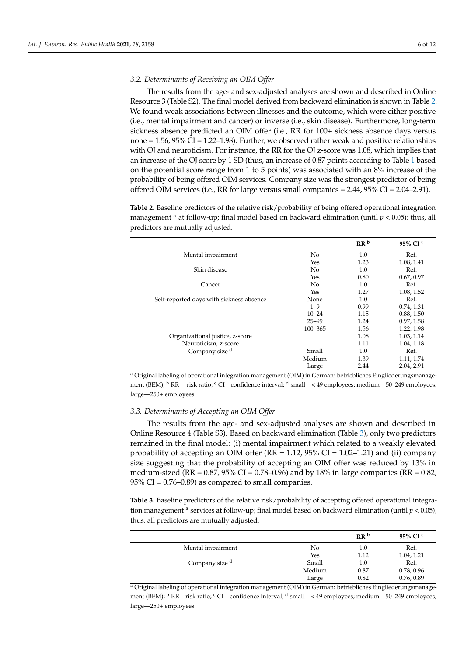## *3.2. Determinants of Receiving an OIM Offer*

The results from the age- and sex-adjusted analyses are shown and described in Online Resource 3 (Table S2). The final model derived from backward elimination is shown in Table [2.](#page-5-0) We found weak associations between illnesses and the outcome, which were either positive (i.e., mental impairment and cancer) or inverse (i.e., skin disease). Furthermore, long-term sickness absence predicted an OIM offer (i.e., RR for 100+ sickness absence days versus none = 1.56, 95% CI = 1.22–1.98). Further, we observed rather weak and positive relationships with OJ and neuroticism. For instance, the RR for the OJ z-score was 1.08, which implies that an increase of the OJ score by 1 SD (thus, an increase of 0.87 points according to Table [1](#page-3-0) based on the potential score range from 1 to 5 points) was associated with an 8% increase of the probability of being offered OIM services. Company size was the strongest predictor of being offered OIM services (i.e., RR for large versus small companies  $= 2.44$ ,  $95\%$  CI  $= 2.04$ –2.91).

<span id="page-5-0"></span>**Table 2.** Baseline predictors of the relative risk/probability of being offered operational integration management <sup>a</sup> at follow-up; final model based on backward elimination (until  $p < 0.05$ ); thus, all predictors are mutually adjusted.

|                                          |             | RR <sup>b</sup> | 95% CI <sup>c</sup> |
|------------------------------------------|-------------|-----------------|---------------------|
| Mental impairment                        | No          | 1.0             | Ref.                |
|                                          | Yes         | 1.23            | 1.08, 1.41          |
| Skin disease                             | No          | 1.0             | Ref.                |
|                                          | Yes         | 0.80            | 0.67, 0.97          |
| Cancer                                   | No          | 1.0             | Ref.                |
|                                          | Yes         | 1.27            | 1.08, 1.52          |
| Self-reported days with sickness absence | None        | 1.0             | Ref.                |
|                                          | $1 - 9$     | 0.99            | 0.74, 1.31          |
|                                          | $10 - 24$   | 1.15            | 0.88, 1.50          |
|                                          | $25 - 99$   | 1.24            | 0.97, 1.58          |
|                                          | $100 - 365$ | 1.56            | 1.22, 1.98          |
| Organizational justice, z-score          |             | 1.08            | 1.03, 1.14          |
| Neuroticism, z-score                     |             | 1.11            | 1.04, 1.18          |
| Company size d                           | Small       | 1.0             | Ref.                |
|                                          | Medium      | 1.39            | 1.11, 1.74          |
|                                          | Large       | 2.44            | 2.04, 2.91          |

a Original labeling of operational integration management (OIM) in German: betriebliches Eingliederungsmanagement (BEM); <sup>b</sup> RR— risk ratio; <sup>c</sup> CI—confidence interval; <sup>d</sup> small—< 49 employees; medium—50–249 employees; large—250+ employees.

## *3.3. Determinants of Accepting an OIM Offer*

The results from the age- and sex-adjusted analyses are shown and described in Online Resource 4 (Table S3). Based on backward elimination (Table [3\)](#page-5-1), only two predictors remained in the final model: (i) mental impairment which related to a weakly elevated probability of accepting an OIM offer  $(RR = 1.12, 95\% \text{ CI} = 1.02 - 1.21)$  and (ii) company size suggesting that the probability of accepting an OIM offer was reduced by 13% in medium-sized (RR =  $0.87$ ,  $95\%$  CI =  $0.78-0.96$ ) and by 18% in large companies (RR =  $0.82$ ,  $95\%$  CI = 0.76–0.89) as compared to small companies.

<span id="page-5-1"></span>**Table 3.** Baseline predictors of the relative risk/probability of accepting offered operational integration management  $a$  services at follow-up; final model based on backward elimination (until  $p < 0.05$ ); thus, all predictors are mutually adjusted.

|                   |        | RR <sup>b</sup> | 95% CI $\degree$ |
|-------------------|--------|-----------------|------------------|
| Mental impairment | No     | 1.0             | Ref.             |
|                   | Yes    | 1.12            | 1.04, 1.21       |
| Company size d    | Small  | 1.0             | Ref.             |
|                   | Medium | 0.87            | 0.78, 0.96       |
|                   | Large  | 0.82            | 0.76, 0.89       |

<sup>a</sup> Original labeling of operational integration management (OIM) in German: betriebliches Eingliederungsmanagement (BEM); <sup>b</sup> RR—risk ratio; <sup>c</sup> CI—confidence interval; <sup>d</sup> small—< 49 employees; medium—50–249 employees; large—250+ employees.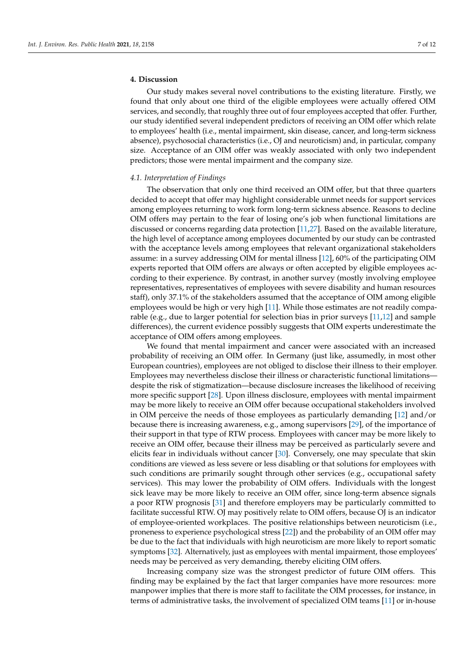# **4. Discussion**

Our study makes several novel contributions to the existing literature. Firstly, we found that only about one third of the eligible employees were actually offered OIM services, and secondly, that roughly three out of four employees accepted that offer. Further, our study identified several independent predictors of receiving an OIM offer which relate to employees' health (i.e., mental impairment, skin disease, cancer, and long-term sickness absence), psychosocial characteristics (i.e., OJ and neuroticism) and, in particular, company size. Acceptance of an OIM offer was weakly associated with only two independent predictors; those were mental impairment and the company size.

#### *4.1. Interpretation of Findings*

The observation that only one third received an OIM offer, but that three quarters decided to accept that offer may highlight considerable unmet needs for support services among employees returning to work form long-term sickness absence. Reasons to decline OIM offers may pertain to the fear of losing one's job when functional limitations are discussed or concerns regarding data protection [\[11](#page-10-6)[,27\]](#page-10-22). Based on the available literature, the high level of acceptance among employees documented by our study can be contrasted with the acceptance levels among employees that relevant organizational stakeholders assume: in a survey addressing OIM for mental illness [\[12\]](#page-10-7), 60% of the participating OIM experts reported that OIM offers are always or often accepted by eligible employees according to their experience. By contrast, in another survey (mostly involving employee representatives, representatives of employees with severe disability and human resources staff), only 37.1% of the stakeholders assumed that the acceptance of OIM among eligible employees would be high or very high [\[11\]](#page-10-6). While those estimates are not readily comparable (e.g., due to larger potential for selection bias in prior surveys [\[11,](#page-10-6)[12\]](#page-10-7) and sample differences), the current evidence possibly suggests that OIM experts underestimate the acceptance of OIM offers among employees.

We found that mental impairment and cancer were associated with an increased probability of receiving an OIM offer. In Germany (just like, assumedly, in most other European countries), employees are not obliged to disclose their illness to their employer. Employees may nevertheless disclose their illness or characteristic functional limitations despite the risk of stigmatization—because disclosure increases the likelihood of receiving more specific support [\[28\]](#page-10-23). Upon illness disclosure, employees with mental impairment may be more likely to receive an OIM offer because occupational stakeholders involved in OIM perceive the needs of those employees as particularly demanding [\[12\]](#page-10-7) and/or because there is increasing awareness, e.g., among supervisors [\[29\]](#page-10-24), of the importance of their support in that type of RTW process. Employees with cancer may be more likely to receive an OIM offer, because their illness may be perceived as particularly severe and elicits fear in individuals without cancer [\[30\]](#page-11-0). Conversely, one may speculate that skin conditions are viewed as less severe or less disabling or that solutions for employees with such conditions are primarily sought through other services (e.g., occupational safety services). This may lower the probability of OIM offers. Individuals with the longest sick leave may be more likely to receive an OIM offer, since long-term absence signals a poor RTW prognosis [\[31\]](#page-11-1) and therefore employers may be particularly committed to facilitate successful RTW. OJ may positively relate to OIM offers, because OJ is an indicator of employee-oriented workplaces. The positive relationships between neuroticism (i.e., proneness to experience psychological stress [\[22\]](#page-10-17)) and the probability of an OIM offer may be due to the fact that individuals with high neuroticism are more likely to report somatic symptoms [\[32\]](#page-11-2). Alternatively, just as employees with mental impairment, those employees' needs may be perceived as very demanding, thereby eliciting OIM offers.

Increasing company size was the strongest predictor of future OIM offers. This finding may be explained by the fact that larger companies have more resources: more manpower implies that there is more staff to facilitate the OIM processes, for instance, in terms of administrative tasks, the involvement of specialized OIM teams [\[11\]](#page-10-6) or in-house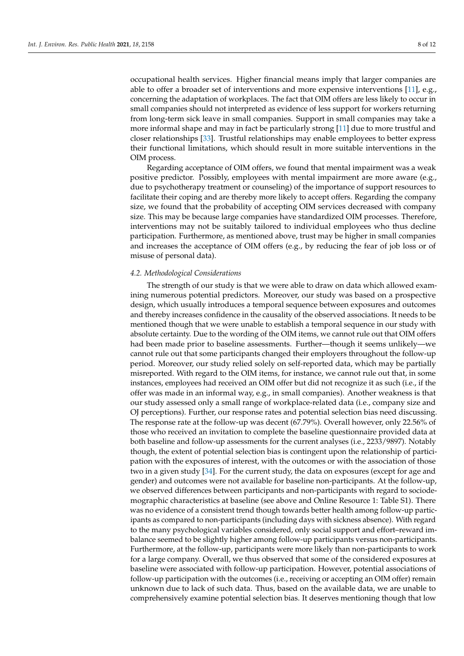occupational health services. Higher financial means imply that larger companies are able to offer a broader set of interventions and more expensive interventions [\[11\]](#page-10-6), e.g., concerning the adaptation of workplaces. The fact that OIM offers are less likely to occur in small companies should not interpreted as evidence of less support for workers returning from long-term sick leave in small companies. Support in small companies may take a more informal shape and may in fact be particularly strong [\[11\]](#page-10-6) due to more trustful and closer relationships [\[33\]](#page-11-3). Trustful relationships may enable employees to better express their functional limitations, which should result in more suitable interventions in the OIM process.

Regarding acceptance of OIM offers, we found that mental impairment was a weak positive predictor. Possibly, employees with mental impairment are more aware (e.g., due to psychotherapy treatment or counseling) of the importance of support resources to facilitate their coping and are thereby more likely to accept offers. Regarding the company size, we found that the probability of accepting OIM services decreased with company size. This may be because large companies have standardized OIM processes. Therefore, interventions may not be suitably tailored to individual employees who thus decline participation. Furthermore, as mentioned above, trust may be higher in small companies and increases the acceptance of OIM offers (e.g., by reducing the fear of job loss or of misuse of personal data).

## *4.2. Methodological Considerations*

The strength of our study is that we were able to draw on data which allowed examining numerous potential predictors. Moreover, our study was based on a prospective design, which usually introduces a temporal sequence between exposures and outcomes and thereby increases confidence in the causality of the observed associations. It needs to be mentioned though that we were unable to establish a temporal sequence in our study with absolute certainty. Due to the wording of the OIM items, we cannot rule out that OIM offers had been made prior to baseline assessments. Further—though it seems unlikely—we cannot rule out that some participants changed their employers throughout the follow-up period. Moreover, our study relied solely on self-reported data, which may be partially misreported. With regard to the OIM items, for instance, we cannot rule out that, in some instances, employees had received an OIM offer but did not recognize it as such (i.e., if the offer was made in an informal way, e.g., in small companies). Another weakness is that our study assessed only a small range of workplace-related data (i.e., company size and OJ perceptions). Further, our response rates and potential selection bias need discussing. The response rate at the follow-up was decent (67.79%). Overall however, only 22.56% of those who received an invitation to complete the baseline questionnaire provided data at both baseline and follow-up assessments for the current analyses (i.e., 2233/9897). Notably though, the extent of potential selection bias is contingent upon the relationship of participation with the exposures of interest, with the outcomes or with the association of those two in a given study [\[34\]](#page-11-4). For the current study, the data on exposures (except for age and gender) and outcomes were not available for baseline non-participants. At the follow-up, we observed differences between participants and non-participants with regard to sociodemographic characteristics at baseline (see above and Online Resource 1: Table S1). There was no evidence of a consistent trend though towards better health among follow-up participants as compared to non-participants (including days with sickness absence). With regard to the many psychological variables considered, only social support and effort–reward imbalance seemed to be slightly higher among follow-up participants versus non-participants. Furthermore, at the follow-up, participants were more likely than non-participants to work for a large company. Overall, we thus observed that some of the considered exposures at baseline were associated with follow-up participation. However, potential associations of follow-up participation with the outcomes (i.e., receiving or accepting an OIM offer) remain unknown due to lack of such data. Thus, based on the available data, we are unable to comprehensively examine potential selection bias. It deserves mentioning though that low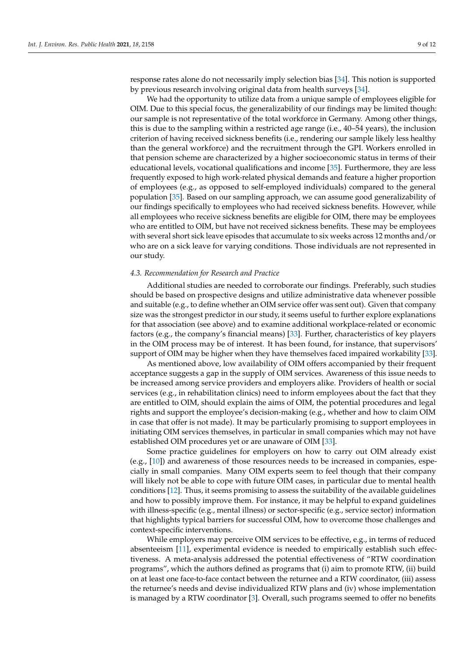response rates alone do not necessarily imply selection bias [\[34\]](#page-11-4). This notion is supported by previous research involving original data from health surveys [\[34\]](#page-11-4).

We had the opportunity to utilize data from a unique sample of employees eligible for OIM. Due to this special focus, the generalizability of our findings may be limited though: our sample is not representative of the total workforce in Germany. Among other things, this is due to the sampling within a restricted age range (i.e., 40–54 years), the inclusion criterion of having received sickness benefits (i.e., rendering our sample likely less healthy than the general workforce) and the recruitment through the GPI. Workers enrolled in that pension scheme are characterized by a higher socioeconomic status in terms of their educational levels, vocational qualifications and income [\[35\]](#page-11-5). Furthermore, they are less frequently exposed to high work-related physical demands and feature a higher proportion of employees (e.g., as opposed to self-employed individuals) compared to the general population [\[35\]](#page-11-5). Based on our sampling approach, we can assume good generalizability of our findings specifically to employees who had received sickness benefits. However, while all employees who receive sickness benefits are eligible for OIM, there may be employees who are entitled to OIM, but have not received sickness benefits. These may be employees with several short sick leave episodes that accumulate to six weeks across 12 months and/or who are on a sick leave for varying conditions. Those individuals are not represented in our study.

#### *4.3. Recommendation for Research and Practice*

Additional studies are needed to corroborate our findings. Preferably, such studies should be based on prospective designs and utilize administrative data whenever possible and suitable (e.g., to define whether an OIM service offer was sent out). Given that company size was the strongest predictor in our study, it seems useful to further explore explanations for that association (see above) and to examine additional workplace-related or economic factors (e.g., the company's financial means) [\[33\]](#page-11-3). Further, characteristics of key players in the OIM process may be of interest. It has been found, for instance, that supervisors' support of OIM may be higher when they have themselves faced impaired workability [\[33\]](#page-11-3).

As mentioned above, low availability of OIM offers accompanied by their frequent acceptance suggests a gap in the supply of OIM services. Awareness of this issue needs to be increased among service providers and employers alike. Providers of health or social services (e.g., in rehabilitation clinics) need to inform employees about the fact that they are entitled to OIM, should explain the aims of OIM, the potential procedures and legal rights and support the employee's decision-making (e.g., whether and how to claim OIM in case that offer is not made). It may be particularly promising to support employees in initiating OIM services themselves, in particular in small companies which may not have established OIM procedures yet or are unaware of OIM [\[33\]](#page-11-3).

Some practice guidelines for employers on how to carry out OIM already exist (e.g., [\[10\]](#page-10-5)) and awareness of those resources needs to be increased in companies, especially in small companies. Many OIM experts seem to feel though that their company will likely not be able to cope with future OIM cases, in particular due to mental health conditions [\[12\]](#page-10-7). Thus, it seems promising to assess the suitability of the available guidelines and how to possibly improve them. For instance, it may be helpful to expand guidelines with illness-specific (e.g., mental illness) or sector-specific (e.g., service sector) information that highlights typical barriers for successful OIM, how to overcome those challenges and context-specific interventions.

While employers may perceive OIM services to be effective, e.g., in terms of reduced absenteeism [\[11\]](#page-10-6), experimental evidence is needed to empirically establish such effectiveness. A meta-analysis addressed the potential effectiveness of "RTW coordination programs", which the authors defined as programs that (i) aim to promote RTW, (ii) build on at least one face-to-face contact between the returnee and a RTW coordinator, (iii) assess the returnee's needs and devise individualized RTW plans and (iv) whose implementation is managed by a RTW coordinator [\[3\]](#page-9-2). Overall, such programs seemed to offer no benefits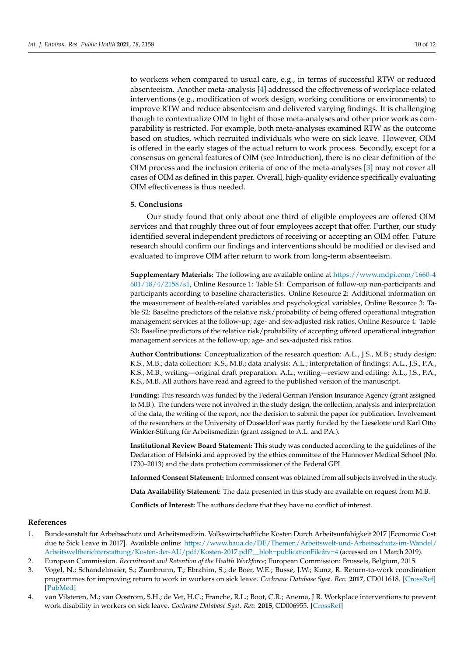to workers when compared to usual care, e.g., in terms of successful RTW or reduced absenteeism. Another meta-analysis [\[4\]](#page-9-3) addressed the effectiveness of workplace-related interventions (e.g., modification of work design, working conditions or environments) to improve RTW and reduce absenteeism and delivered varying findings. It is challenging though to contextualize OIM in light of those meta-analyses and other prior work as comparability is restricted. For example, both meta-analyses examined RTW as the outcome based on studies, which recruited individuals who were on sick leave. However, OIM is offered in the early stages of the actual return to work process. Secondly, except for a consensus on general features of OIM (see Introduction), there is no clear definition of the OIM process and the inclusion criteria of one of the meta-analyses [\[3\]](#page-9-2) may not cover all cases of OIM as defined in this paper. Overall, high-quality evidence specifically evaluating OIM effectiveness is thus needed.

#### **5. Conclusions**

Our study found that only about one third of eligible employees are offered OIM services and that roughly three out of four employees accept that offer. Further, our study identified several independent predictors of receiving or accepting an OIM offer. Future research should confirm our findings and interventions should be modified or devised and evaluated to improve OIM after return to work from long-term absenteeism.

**Supplementary Materials:** The following are available online at [https://www.mdpi.com/1660-4](https://www.mdpi.com/1660-4601/18/4/2158/s1) [601/18/4/2158/s1,](https://www.mdpi.com/1660-4601/18/4/2158/s1) Online Resource 1: Table S1: Comparison of follow-up non-participants and participants according to baseline characteristics. Online Resource 2: Additional information on the measurement of health-related variables and psychological variables, Online Resource 3: Table S2: Baseline predictors of the relative risk/probability of being offered operational integration management services at the follow-up; age- and sex-adjusted risk ratios, Online Resource 4: Table S3: Baseline predictors of the relative risk/probability of accepting offered operational integration management services at the follow-up; age- and sex-adjusted risk ratios.

**Author Contributions:** Conceptualization of the research question: A.L., J.S., M.B.; study design: K.S., M.B.; data collection: K.S., M.B.; data analysis: A.L.; interpretation of findings: A.L., J.S., P.A., K.S., M.B.; writing—original draft preparation: A.L.; writing—review and editing: A.L., J.S., P.A., K.S., M.B. All authors have read and agreed to the published version of the manuscript.

**Funding:** This research was funded by the Federal German Pension Insurance Agency (grant assigned to M.B.). The funders were not involved in the study design, the collection, analysis and interpretation of the data, the writing of the report, nor the decision to submit the paper for publication. Involvement of the researchers at the University of Düsseldorf was partly funded by the Lieselotte und Karl Otto Winkler-Stiftung für Arbeitsmedizin (grant assigned to A.L. and P.A.).

**Institutional Review Board Statement:** This study was conducted according to the guidelines of the Declaration of Helsinki and approved by the ethics committee of the Hannover Medical School (No. 1730–2013) and the data protection commissioner of the Federal GPI.

**Informed Consent Statement:** Informed consent was obtained from all subjects involved in the study.

**Data Availability Statement:** The data presented in this study are available on request from M.B.

**Conflicts of Interest:** The authors declare that they have no conflict of interest.

# **References**

- <span id="page-9-0"></span>1. Bundesanstalt für Arbeitsschutz und Arbeitsmedizin. Volkswirtschaftliche Kosten Durch Arbeitsunfähigkeit 2017 [Economic Cost due to Sick Leave in 2017]. Available online: [https://www.baua.de/DE/Themen/Arbeitswelt-und-Arbeitsschutz-im-Wandel/](https://www.baua.de/DE/Themen/Arbeitswelt-und-Arbeitsschutz-im-Wandel/Arbeitsweltberichterstattung/Kosten-der-AU/pdf/Kosten-2017.pdf?__blob=publicationFile&v=4) [Arbeitsweltberichterstattung/Kosten-der-AU/pdf/Kosten-2017.pdf?\\_\\_blob=publicationFile&v=4](https://www.baua.de/DE/Themen/Arbeitswelt-und-Arbeitsschutz-im-Wandel/Arbeitsweltberichterstattung/Kosten-der-AU/pdf/Kosten-2017.pdf?__blob=publicationFile&v=4) (accessed on 1 March 2019).
- <span id="page-9-1"></span>2. European Commission. *Recruitment and Retention of the Health Workforce*; European Commission: Brussels, Belgium, 2015.
- <span id="page-9-2"></span>3. Vogel, N.; Schandelmaier, S.; Zumbrunn, T.; Ebrahim, S.; de Boer, W.E.; Busse, J.W.; Kunz, R. Return-to-work coordination programmes for improving return to work in workers on sick leave. *Cochrane Database Syst. Rev.* **2017**, CD011618. [\[CrossRef\]](http://doi.org/10.1002/14651858.CD011618.pub2) [\[PubMed\]](http://www.ncbi.nlm.nih.gov/pubmed/28358173)
- <span id="page-9-3"></span>4. van Vilsteren, M.; van Oostrom, S.H.; de Vet, H.C.; Franche, R.L.; Boot, C.R.; Anema, J.R. Workplace interventions to prevent work disability in workers on sick leave. *Cochrane Database Syst. Rev.* **2015**, CD006955. [\[CrossRef\]](http://doi.org/10.1002/14651858.CD006955.pub3)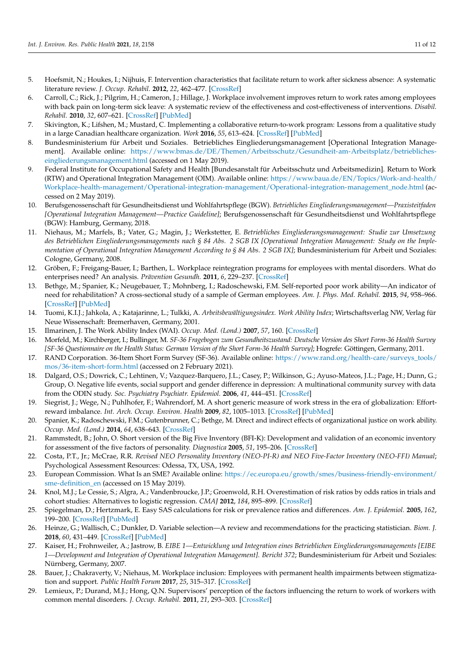- <span id="page-10-0"></span>5. Hoefsmit, N.; Houkes, I.; Nijhuis, F. Intervention characteristics that facilitate return to work after sickness absence: A systematic literature review. *J. Occup. Rehabil.* **2012**, *22*, 462–477. [\[CrossRef\]](http://doi.org/10.1007/s10926-012-9359-z)
- <span id="page-10-1"></span>6. Carroll, C.; Rick, J.; Pilgrim, H.; Cameron, J.; Hillage, J. Workplace involvement improves return to work rates among employees with back pain on long-term sick leave: A systematic review of the effectiveness and cost-effectiveness of interventions. *Disabil. Rehabil.* **2010**, *32*, 607–621. [\[CrossRef\]](http://doi.org/10.3109/09638280903186301) [\[PubMed\]](http://www.ncbi.nlm.nih.gov/pubmed/20205573)
- <span id="page-10-2"></span>7. Skivington, K.; Lifshen, M.; Mustard, C. Implementing a collaborative return-to-work program: Lessons from a qualitative study in a large Canadian healthcare organization. *Work* **2016**, *55*, 613–624. [\[CrossRef\]](http://doi.org/10.3233/WOR-162437) [\[PubMed\]](http://www.ncbi.nlm.nih.gov/pubmed/27792035)
- <span id="page-10-3"></span>8. Bundesministerium für Arbeit und Soziales. Betriebliches Eingliederungsmanagement [Operational Integration Management]. Available online: [https://www.bmas.de/DE/Themen/Arbeitsschutz/Gesundheit-am-Arbeitsplatz/betriebliches](https://www.bmas.de/DE/Themen/Arbeitsschutz/Gesundheit-am-Arbeitsplatz/betriebliches-eingliederungsmanagement.html)[eingliederungsmanagement.html](https://www.bmas.de/DE/Themen/Arbeitsschutz/Gesundheit-am-Arbeitsplatz/betriebliches-eingliederungsmanagement.html) (accessed on 1 May 2019).
- <span id="page-10-4"></span>9. Federal Institute for Occupational Safety and Health [Bundesanstalt für Arbeitsschutz und Arbeitsmedizin]. Return to Work (RTW) and Operational Integration Management (OIM). Available online: [https://www.baua.de/EN/Topics/Work-and-health/](https://www.baua.de/EN/Topics/Work-and-health/Workplace-health-management/Operational-integration-management/Operational-integration-management_node.html) [Workplace-health-management/Operational-integration-management/Operational-integration-management\\_node.html](https://www.baua.de/EN/Topics/Work-and-health/Workplace-health-management/Operational-integration-management/Operational-integration-management_node.html) (accessed on 2 May 2019).
- <span id="page-10-5"></span>10. Berufsgenossenschaft für Gesundheitsdienst und Wohlfahrtspflege (BGW). *Betriebliches Eingliederungsmanagement—Praxisteitfaden [Operational Integration Management—Practice Guideline]*; Berufsgenossenschaft für Gesundheitsdienst und Wohlfahrtspflege (BGW): Hamburg, Germany, 2018.
- <span id="page-10-6"></span>11. Niehaus, M.; Marfels, B.; Vater, G.; Magin, J.; Werkstetter, E. *Betriebliches Eingliederungsmanagement: Studie zur Umsetzung des Betrieblichen Eingliederungsmanagements nach § 84 Abs. 2 SGB IX [Operational Integration Management: Study on the Implementation of Operational Integration Management According to § 84 Abs. 2 SGB IX]*; Bundesministerium für Arbeit und Soziales: Cologne, Germany, 2008.
- <span id="page-10-7"></span>12. Gröben, F.; Freigang-Bauer, I.; Barthen, L. Workplace reintegration programs for employees with mental disorders. What do enterprises need? An analysis. *Prävention Gesundh.* **2011**, *6*, 229–237. [\[CrossRef\]](http://doi.org/10.1007/s11553-011-0306-1)
- <span id="page-10-8"></span>13. Bethge, M.; Spanier, K.; Neugebauer, T.; Mohnberg, I.; Radoschewski, F.M. Self-reported poor work ability—An indicator of need for rehabilitation? A cross-sectional study of a sample of German employees. *Am. J. Phys. Med. Rehabil.* **2015**, *94*, 958–966. [\[CrossRef\]](http://doi.org/10.1097/PHM.0000000000000281) [\[PubMed\]](http://www.ncbi.nlm.nih.gov/pubmed/25888659)
- <span id="page-10-9"></span>14. Tuomi, K.I.J.; Jahkola, A.; Katajarinne, L.; Tulkki, A. *Arbeitsbewältigungsindex. Work Ability Index*; Wirtschaftsverlag NW, Verlag für Neue Wissenschaft: Bremerhaven, Germany, 2001.
- <span id="page-10-10"></span>15. Ilmarinen, J. The Work Ability Index (WAI). *Occup. Med. (Lond.)* **2007**, *57*, 160. [\[CrossRef\]](http://doi.org/10.1093/occmed/kqm008)
- <span id="page-10-11"></span>16. Morfeld, M.; Kirchberger, I.; Bullinger, M. *SF-36 Fragebogen zum Gesundheitszustand: Deutsche Version des Short Form-36 Health Survey [SF-36 Questionnaire on the Health Status: German Version of the Short Form-36 Health Survey]*; Hogrefe: Göttingen, Germany, 2011.
- <span id="page-10-12"></span>17. RAND Corporation. 36-Item Short Form Survey (SF-36). Available online: [https://www.rand.org/health-care/surveys\\_tools/](https://www.rand.org/health-care/surveys_tools/mos/36-item-short-form.html) [mos/36-item-short-form.html](https://www.rand.org/health-care/surveys_tools/mos/36-item-short-form.html) (accessed on 2 February 2021).
- <span id="page-10-13"></span>18. Dalgard, O.S.; Dowrick, C.; Lehtinen, V.; Vazquez-Barquero, J.L.; Casey, P.; Wilkinson, G.; Ayuso-Mateos, J.L.; Page, H.; Dunn, G.; Group, O. Negative life events, social support and gender difference in depression: A multinational community survey with data from the ODIN study. *Soc. Psychiatry Psychiatr. Epidemiol.* **2006**, *41*, 444–451. [\[CrossRef\]](http://doi.org/10.1007/s00127-006-0051-5)
- <span id="page-10-14"></span>19. Siegrist, J.; Wege, N.; Puhlhofer, F.; Wahrendorf, M. A short generic measure of work stress in the era of globalization: Effortreward imbalance. *Int. Arch. Occup. Environ. Health* **2009**, *82*, 1005–1013. [\[CrossRef\]](http://doi.org/10.1007/s00420-008-0384-3) [\[PubMed\]](http://www.ncbi.nlm.nih.gov/pubmed/19018554)
- <span id="page-10-15"></span>20. Spanier, K.; Radoschewski, F.M.; Gutenbrunner, C.; Bethge, M. Direct and indirect effects of organizational justice on work ability. *Occup. Med. (Lond.)* **2014**, *64*, 638–643. [\[CrossRef\]](http://doi.org/10.1093/occmed/kqu127)
- <span id="page-10-16"></span>21. Rammstedt, B.; John, O. Short version of the Big Five Inventory (BFI-K): Development and validation of an economic inventory for assessment of the five factors of personality. *Diagnostica* **2005**, *51*, 195–206. [\[CrossRef\]](http://doi.org/10.1026/0012-1924.51.4.195)
- <span id="page-10-17"></span>22. Costa, P.T., Jr.; McCrae, R.R. *Revised NEO Personality Inventory (NEO-PI-R) and NEO Five-Factor Inventory (NEO-FFI) Manual*; Psychological Assessment Resources: Odessa, TX, USA, 1992.
- <span id="page-10-18"></span>23. European Commission. What Is an SME? Available online: [https://ec.europa.eu/growth/smes/business-friendly-environment/](https://ec.europa.eu/growth/smes/business-friendly-environment/sme-definition_en) [sme-definition\\_en](https://ec.europa.eu/growth/smes/business-friendly-environment/sme-definition_en) (accessed on 15 May 2019).
- <span id="page-10-19"></span>24. Knol, M.J.; Le Cessie, S.; Algra, A.; Vandenbroucke, J.P.; Groenwold, R.H. Overestimation of risk ratios by odds ratios in trials and cohort studies: Alternatives to logistic regression. *CMAJ* **2012**, *184*, 895–899. [\[CrossRef\]](http://doi.org/10.1503/cmaj.101715)
- <span id="page-10-20"></span>25. Spiegelman, D.; Hertzmark, E. Easy SAS calculations for risk or prevalence ratios and differences. *Am. J. Epidemiol.* **2005**, *162*, 199–200. [\[CrossRef\]](http://doi.org/10.1093/aje/kwi188) [\[PubMed\]](http://www.ncbi.nlm.nih.gov/pubmed/15987728)
- <span id="page-10-21"></span>26. Heinze, G.; Wallisch, C.; Dunkler, D. Variable selection—A review and recommendations for the practicing statistician. *Biom. J.* **2018**, *60*, 431–449. [\[CrossRef\]](http://doi.org/10.1002/bimj.201700067) [\[PubMed\]](http://www.ncbi.nlm.nih.gov/pubmed/29292533)
- <span id="page-10-22"></span>27. Kaiser, H.; Frohnweiler, A.; Jastrow, B. *EIBE 1—Entwicklung und Integration eines Betrieblichen Eingliederungsmanagements [EIBE 1—Development and Integration of Operational Integration Management]. Bericht 372*; Bundesministerium für Arbeit und Soziales: Nürnberg, Germany, 2007.
- <span id="page-10-23"></span>28. Bauer, J.; Chakraverty, V.; Niehaus, M. Workplace inclusion: Employees with permanent health impairments between stigmatization and support. *Public Health Forum* **2017**, *25*, 315–317. [\[CrossRef\]](http://doi.org/10.1515/pubhef-2017-0054)
- <span id="page-10-24"></span>29. Lemieux, P.; Durand, M.J.; Hong, Q.N. Supervisors' perception of the factors influencing the return to work of workers with common mental disorders. *J. Occup. Rehabil.* **2011**, *21*, 293–303. [\[CrossRef\]](http://doi.org/10.1007/s10926-011-9316-2)